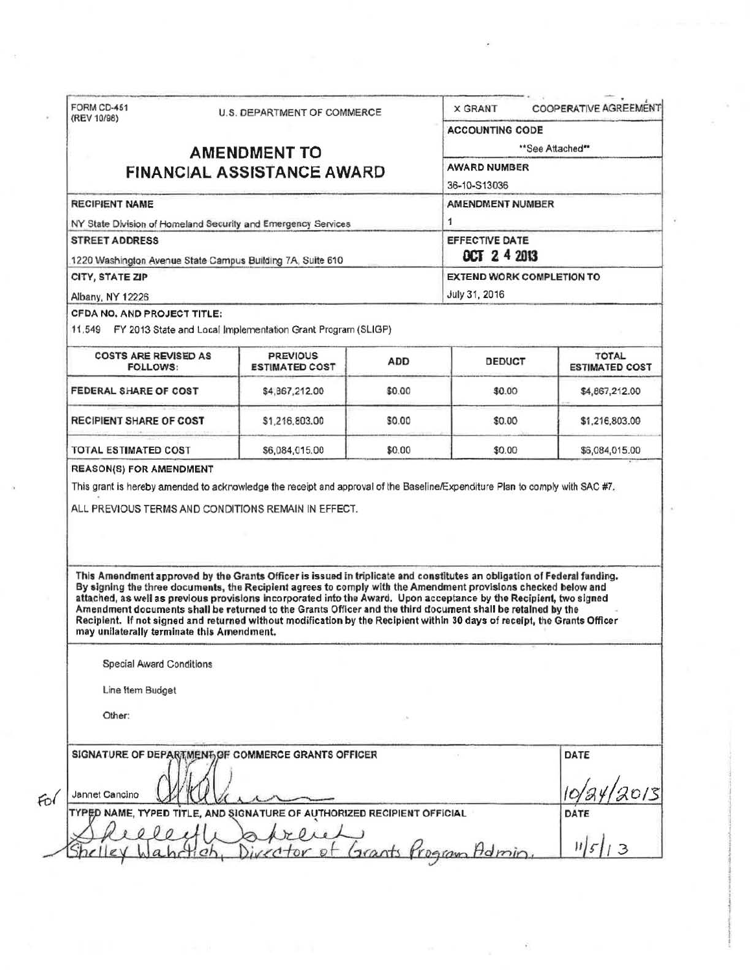| (REV 10/98)                                                                                                                                                                                                                                                                                                                                                                                                                                                                                                                                                                                                                                               | U.S. DEPARTMENT OF COMMERCE              |                              | <b>COOPERATIVE AGREEMENT</b><br><b>X GRANT</b> |                                       |  |
|-----------------------------------------------------------------------------------------------------------------------------------------------------------------------------------------------------------------------------------------------------------------------------------------------------------------------------------------------------------------------------------------------------------------------------------------------------------------------------------------------------------------------------------------------------------------------------------------------------------------------------------------------------------|------------------------------------------|------------------------------|------------------------------------------------|---------------------------------------|--|
|                                                                                                                                                                                                                                                                                                                                                                                                                                                                                                                                                                                                                                                           |                                          |                              | <b>ACCOUNTING CODE</b><br>**See Attached**     |                                       |  |
|                                                                                                                                                                                                                                                                                                                                                                                                                                                                                                                                                                                                                                                           | <b>AMENDMENT TO</b>                      |                              |                                                |                                       |  |
|                                                                                                                                                                                                                                                                                                                                                                                                                                                                                                                                                                                                                                                           | <b>FINANCIAL ASSISTANCE AWARD</b>        |                              | <b>AWARD NUMBER</b>                            |                                       |  |
|                                                                                                                                                                                                                                                                                                                                                                                                                                                                                                                                                                                                                                                           |                                          |                              | 36-10-S13036                                   |                                       |  |
| <b>RECIPIENT NAME</b>                                                                                                                                                                                                                                                                                                                                                                                                                                                                                                                                                                                                                                     |                                          |                              | <b>AMENDMENT NUMBER</b>                        |                                       |  |
| NY State Division of Homeland Security and Emergency Services                                                                                                                                                                                                                                                                                                                                                                                                                                                                                                                                                                                             |                                          |                              | 1                                              |                                       |  |
| <b>STREET ADDRESS</b><br>1220 Washington Avenue State Campus Building 7A, Suite 610                                                                                                                                                                                                                                                                                                                                                                                                                                                                                                                                                                       |                                          |                              | <b>EFFECTIVE DATE</b><br><b>OCT 2 4 2013</b>   |                                       |  |
|                                                                                                                                                                                                                                                                                                                                                                                                                                                                                                                                                                                                                                                           |                                          |                              |                                                |                                       |  |
| Albany, NY 12226                                                                                                                                                                                                                                                                                                                                                                                                                                                                                                                                                                                                                                          |                                          |                              |                                                |                                       |  |
| CFDA NO. AND PROJECT TITLE:<br>11.549 FY 2013 State and Local Implementation Grant Program (SLIGP)                                                                                                                                                                                                                                                                                                                                                                                                                                                                                                                                                        |                                          |                              |                                                |                                       |  |
| <b>COSTS ARE REVISED AS</b><br><b>FOLLOWS:</b>                                                                                                                                                                                                                                                                                                                                                                                                                                                                                                                                                                                                            | <b>PREVIOUS</b><br><b>ESTIMATED COST</b> | <b>ADD</b>                   | DEDUCT                                         | <b>TOTAL</b><br><b>ESTIMATED COST</b> |  |
| <b>FEDERAL SHARE OF COST</b>                                                                                                                                                                                                                                                                                                                                                                                                                                                                                                                                                                                                                              | \$4,867,212.00                           | \$0.00                       | \$0.00                                         | \$4,867,212.00                        |  |
| <b>RECIPIENT SHARE OF COST</b>                                                                                                                                                                                                                                                                                                                                                                                                                                                                                                                                                                                                                            | \$1,216,803.00                           | \$0.00                       | \$0.00                                         | \$1,216,803.00                        |  |
| <b>TOTAL ESTIMATED COST</b>                                                                                                                                                                                                                                                                                                                                                                                                                                                                                                                                                                                                                               | \$6,084,015.00                           | \$0.00                       | \$0.00                                         | \$6,084,015.00                        |  |
|                                                                                                                                                                                                                                                                                                                                                                                                                                                                                                                                                                                                                                                           |                                          |                              |                                                |                                       |  |
| This Amendment approved by the Grants Officer is issued in triplicate and constitutes an obligation of Federal funding.<br>By signing the three documents, the Recipient agrees to comply with the Amendment provisions checked below and<br>attached, as well as previous provisions incorporated into the Award. Upon acceptance by the Recipient, two signed<br>Amendment documents shall be returned to the Grants Officer and the third document shall be retained by the<br>Recipient. If not signed and returned without modification by the Recipient within 30 days of receipt, the Grants Officer<br>may unilaterally terminate this Amendment. |                                          |                              |                                                |                                       |  |
| <b>Special Award Conditions</b>                                                                                                                                                                                                                                                                                                                                                                                                                                                                                                                                                                                                                           |                                          |                              |                                                |                                       |  |
| Line Item Budget                                                                                                                                                                                                                                                                                                                                                                                                                                                                                                                                                                                                                                          |                                          |                              |                                                |                                       |  |
| Other:                                                                                                                                                                                                                                                                                                                                                                                                                                                                                                                                                                                                                                                    |                                          |                              |                                                |                                       |  |
| SIGNATURE OF DEPARTMENT OF COMMERCE GRANTS OFFICER<br>Jannet Cancino                                                                                                                                                                                                                                                                                                                                                                                                                                                                                                                                                                                      | <b>AND SIGNA</b>                         | UTHORIZED RECIPIENT OFFICIAL |                                                | DATE                                  |  |